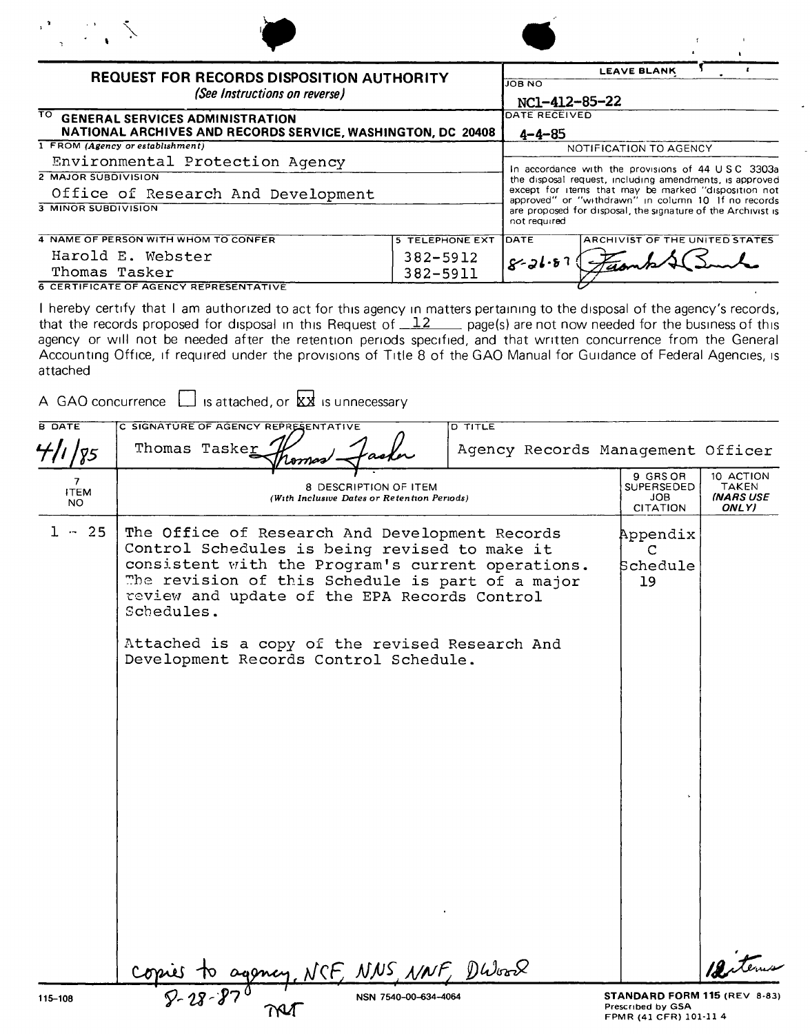| <b>REQUEST FOR RECORDS DISPOSITION AUTHORITY</b><br>(See Instructions on reverse)                            |                        | <b>LEAVE BLANK</b><br><b>JOB NO</b><br>NC1-412-85-22                                                                                |
|--------------------------------------------------------------------------------------------------------------|------------------------|-------------------------------------------------------------------------------------------------------------------------------------|
| ΤOΓ<br><b>GENERAL SERVICES ADMINISTRATION</b><br>NATIONAL ARCHIVES AND RECORDS SERVICE, WASHINGTON, DC 20408 |                        | DATE RECEIVED<br>$4 - 4 - 85$                                                                                                       |
| 1 FROM (Agency or establishment)                                                                             |                        | NOTIFICATION TO AGENCY                                                                                                              |
| Environmental Protection Agency                                                                              |                        | In accordance with the provisions of 44 USC 3303a                                                                                   |
| <b>2 MAJOR SUBDIVISION</b>                                                                                   |                        | the disposal request, including amendments, is approved                                                                             |
| Office of Research And Development                                                                           |                        | except for items that may be marked "disposition not                                                                                |
| 3 MINOR SUBDIVISION                                                                                          |                        | approved" or "withdrawn" in column 10 If no records<br>are proposed for disposal, the signature of the Archivist is<br>not required |
| 4 NAME OF PERSON WITH WHOM TO CONFER                                                                         | <b>5 TELEPHONE EXT</b> | <b>IDATE</b><br>ARCHIVIST OF THE UNITED STATES                                                                                      |
| Harold E. Webster                                                                                            | 382-5912               | $8 - 21.87$                                                                                                                         |
| Thomas Tasker                                                                                                | 382-5911               |                                                                                                                                     |
| <b>6 CERTIFICATE OF AGENCY REPRESENTATIVE</b>                                                                |                        |                                                                                                                                     |

I hereby certify that I am authorized to act for this agency In matters pertaining to the disposal of the agency's records, that the records proposed for disposal in this Request of  $\frac{12}{12}$  page(s) are not now needed for the business of this agency or will not be needed after the retention periods specified, and that written concurrence from the General Accounting Office, if required under the provisions of Title 8 of the GAO Manual for Guidance of Federal Agencies, is attached

|                         | A GAO concurrence $\Box$ is attached, or $\&\&$ is unnecessary                                                                                                                                                                                                                                                                                                    |                                                                             |                                                        |
|-------------------------|-------------------------------------------------------------------------------------------------------------------------------------------------------------------------------------------------------------------------------------------------------------------------------------------------------------------------------------------------------------------|-----------------------------------------------------------------------------|--------------------------------------------------------|
| <b>B DATE</b><br>'75    | C SIGNATURE OF AGENCY REPRESENTATIVE<br><b>D TITLE</b><br>Thomas Tasker<br>Agency Records Management Officer                                                                                                                                                                                                                                                      |                                                                             |                                                        |
| 7<br><b>ITEM</b><br>NO. | 8 DESCRIPTION OF ITEM<br>(With Inclusive Dates or Retention Periods)                                                                                                                                                                                                                                                                                              | 9 GRS OR<br>SUPERSEDED<br><b>JOB</b><br><b>CITATION</b>                     | 10 ACTION<br><b>TAKEN</b><br><b>(NARS USE</b><br>ONLY) |
| $1 - 25$                | The Office of Research And Development Records<br>Control Schedules is being revised to make it<br>consistent with the Program's current operations.<br>The revision of this Schedule is part of a major<br>review and update of the EPA Records Control<br>Schedules.<br>Attached is a copy of the revised Research And<br>Development Records Control Schedule. | Appendix<br>C<br>Schedule<br>19                                             |                                                        |
|                         |                                                                                                                                                                                                                                                                                                                                                                   |                                                                             |                                                        |
|                         | CF, NNS NNF, DWork                                                                                                                                                                                                                                                                                                                                                |                                                                             |                                                        |
| 115-108                 | NSN 7540-00-634-4064                                                                                                                                                                                                                                                                                                                                              | STANDARD FORM 115 (REV 8-83)<br>Prescribed by GSA<br>FPMR (41 CFR) 101-11 4 |                                                        |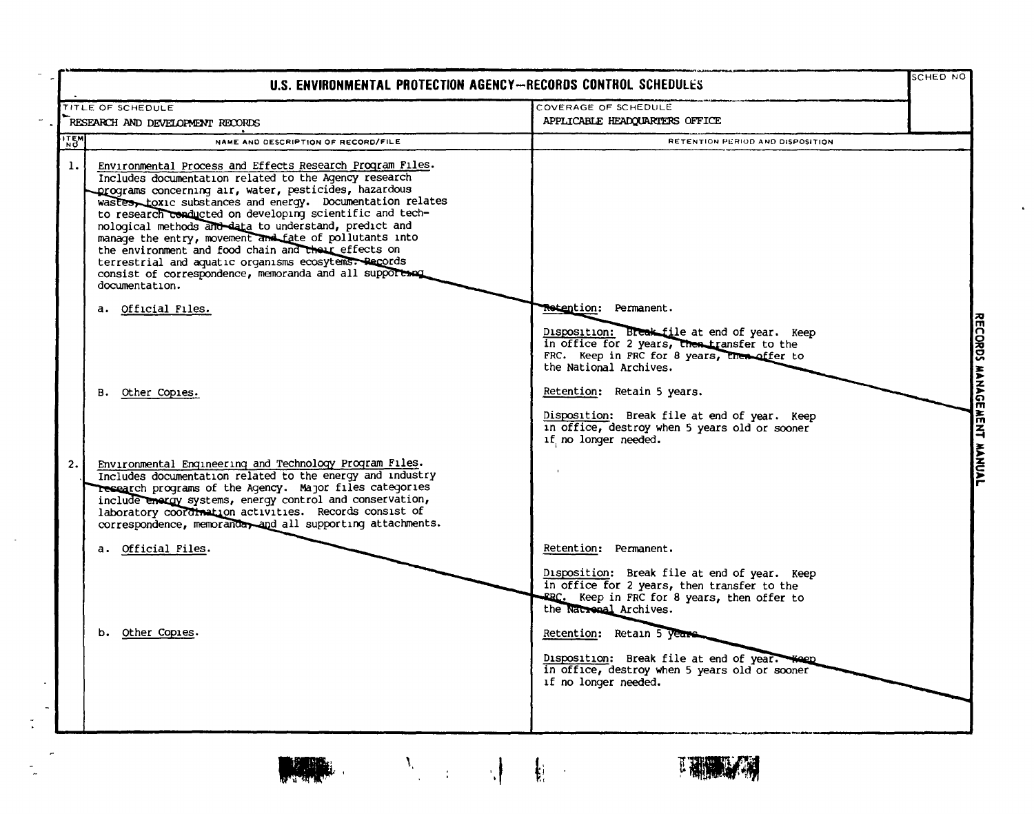|                                                                                                                                                                                                                                                                                                                                                                                                                                                                                                                                                                                                                                                                                                        | U.S. ENVIRONMENTAL PROTECTION AGENCY-RECORDS CONTROL SCHEDULES                                                                                                                                                                                                                                                               | SCHED NO |
|--------------------------------------------------------------------------------------------------------------------------------------------------------------------------------------------------------------------------------------------------------------------------------------------------------------------------------------------------------------------------------------------------------------------------------------------------------------------------------------------------------------------------------------------------------------------------------------------------------------------------------------------------------------------------------------------------------|------------------------------------------------------------------------------------------------------------------------------------------------------------------------------------------------------------------------------------------------------------------------------------------------------------------------------|----------|
| TITLE OF SCHEDULE                                                                                                                                                                                                                                                                                                                                                                                                                                                                                                                                                                                                                                                                                      | COVERAGE OF SCHEDULE                                                                                                                                                                                                                                                                                                         |          |
| RESEARCH AND DEVELOPMENT RECORDS                                                                                                                                                                                                                                                                                                                                                                                                                                                                                                                                                                                                                                                                       | APPLICABLE HEADQUARTERS OFFICE                                                                                                                                                                                                                                                                                               |          |
| <b>TEM</b><br>NAME AND DESCRIPTION OF RECORD/FILE<br>1.<br>Environmental Process and Effects Research Program Files.<br>Includes documentation related to the Agency research<br>programs concerning air, water, pesticides, hazardous<br>wastes, toxic substances and energy. Documentation relates<br>to research conducted on developing scientific and tech-<br>nological methods and data to understand, predict and<br>manage the entry, movement and fate of pollutants into<br>the environment and food chain and their effects on<br>terrestrial and aquatic organisms ecosytems. Records<br>consist of correspondence, memoranda and all supports of<br>documentation.<br>a. Official Files. | RETENTION PERIOD AND DISPOSITION<br><b>Retention: Permanent.</b><br>Disposition: Break file at end of year. Keep<br>in office for 2 years, then transfer to the<br>FRC. Keep in FRC for 8 years, then offer to<br>the National Archives.                                                                                     |          |
| B. Other Copies.<br>Environmental Enqineering and Technology Program Files.<br>Includes documentation related to the energy and industry<br>research programs of the Agency. Major files categories<br>include energy systems, energy control and conservation,<br>laboratory coordination activities. Records consist of<br>correspondence, memoranday and all supporting attachments.                                                                                                                                                                                                                                                                                                                | Retention: Retain 5 years.<br>Disposition: Break file at end of year. Keep<br>in office, destroy when 5 years old or sooner<br>if no longer needed.                                                                                                                                                                          |          |
| a. Official Files.<br>b. Other Copies.                                                                                                                                                                                                                                                                                                                                                                                                                                                                                                                                                                                                                                                                 | Retention: Permanent.<br>Disposition: Break file at end of year. Keep<br>in office for 2 years, then transfer to the<br>FRC. Keep in FRC for 8 years, then offer to<br>the National Archives.<br>Retention: Retain 5 years.<br>Disposition: Break file at end of year. Ween<br>in office, destroy when 5 years old or sooner |          |

**REAL PROPERTY** 

理論文学

 $\sim$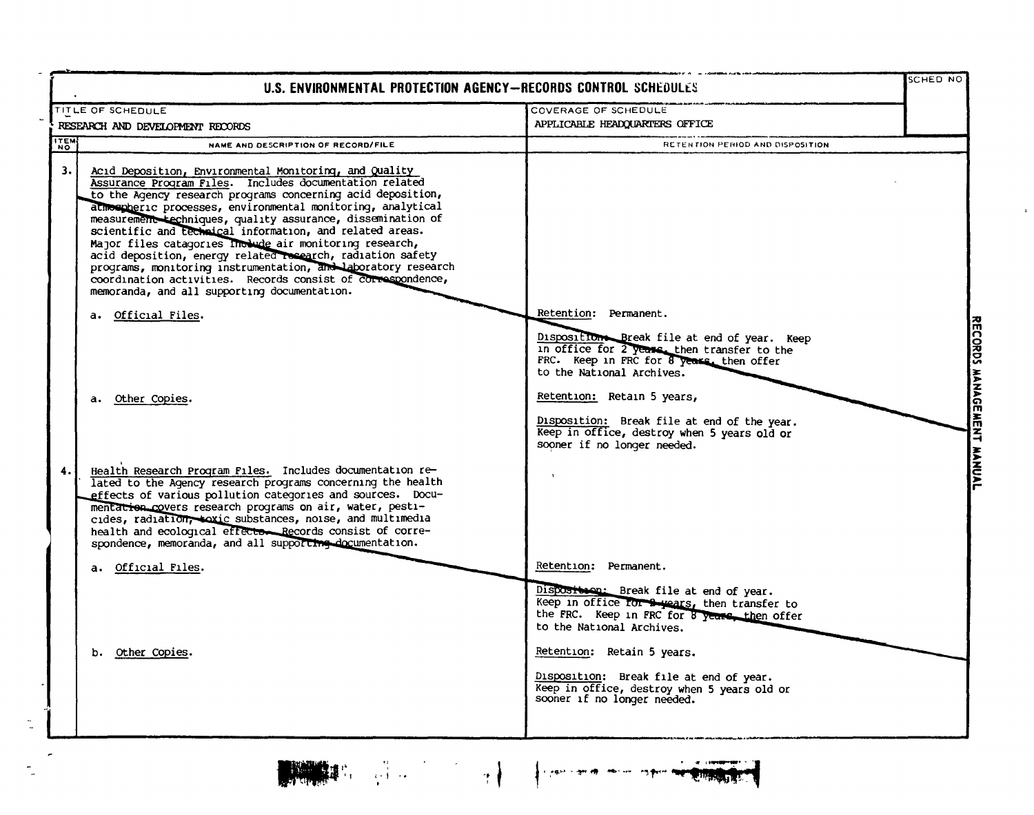| U.S. ENVIRONMENTAL PROTECTION AGENCY-RECORDS CONTROL SCHEDULES                                                                                                                                                                                                                                                                                                                                                                                                                                                                                                                                                                                                                                                   |                                                                                                                                                                                                                                                                                                                                | SCHED NO |
|------------------------------------------------------------------------------------------------------------------------------------------------------------------------------------------------------------------------------------------------------------------------------------------------------------------------------------------------------------------------------------------------------------------------------------------------------------------------------------------------------------------------------------------------------------------------------------------------------------------------------------------------------------------------------------------------------------------|--------------------------------------------------------------------------------------------------------------------------------------------------------------------------------------------------------------------------------------------------------------------------------------------------------------------------------|----------|
| TITLE OF SCHEDULE                                                                                                                                                                                                                                                                                                                                                                                                                                                                                                                                                                                                                                                                                                | COVERAGE OF SCHEDULE<br>APPLICABLE HEADQUARTERS OFFICE                                                                                                                                                                                                                                                                         |          |
| RESEARCH AND DEVELOPMENT RECORDS<br><b>TEM</b><br>NAME AND DESCRIPTION OF RECORD/FILE                                                                                                                                                                                                                                                                                                                                                                                                                                                                                                                                                                                                                            | RETENTION PERIOD AND DISPOSITION                                                                                                                                                                                                                                                                                               |          |
| 3.1<br>Acid Deposition, Environmental Monitoring, and Quality<br>Assurance Program Files. Includes documentation related<br>to the Agency research programs concerning acid deposition,<br>atmospheric processes, environmental monitoring, analytical<br>measurement techniques, quality assurance, dissemination of<br>scientific and technical information, and related areas.<br>Major files catagories Include air monitoring research,<br>acid deposition, energy related research, radiation safety<br>programs, monitoring instrumentation, and laboratory research<br>coordination activities. Records consist of correspondence,<br>memoranda, and all supporting documentation.<br>a. Official Files. | Retention: Permanent.                                                                                                                                                                                                                                                                                                          |          |
| Other Copies.<br>а.                                                                                                                                                                                                                                                                                                                                                                                                                                                                                                                                                                                                                                                                                              | Disposition Break file at end of year. Keep<br>in office for 2 years, then transfer to the<br>FRC. Keep in FRC for 8 years, then offer<br>to the National Archives.<br>Retention: Retain 5 years,<br>Disposition: Break file at end of the year.<br>Keep in office, destroy when 5 years old or<br>sooner if no longer needed. |          |
| Health Research Program Files. Includes documentation re-<br>4.<br>lated to the Agency research programs concerning the health<br>effects of various pollution categories and sources. Docu-<br>mentation covers research programs on air, water, pesti-<br>cides, radiation, toxic substances, noise, and multimedia<br>health and ecological effector Records consist of corre-<br>spondence, memoranda, and all supporting documentation.                                                                                                                                                                                                                                                                     |                                                                                                                                                                                                                                                                                                                                |          |
| a. Official Files.                                                                                                                                                                                                                                                                                                                                                                                                                                                                                                                                                                                                                                                                                               | Retention: Permanent.                                                                                                                                                                                                                                                                                                          |          |
|                                                                                                                                                                                                                                                                                                                                                                                                                                                                                                                                                                                                                                                                                                                  | Disposition: Break file at end of year.<br>Keep in office for a years, then transfer to<br>the FRC. Keep in FRC for 8 years, then offer<br>to the National Archives.                                                                                                                                                           |          |
| b. Other Copies.                                                                                                                                                                                                                                                                                                                                                                                                                                                                                                                                                                                                                                                                                                 | Retention: Retain 5 years.<br>Disposition: Break file at end of year.<br>Keep in office, destroy when 5 years old or<br>sooner if no longer needed.                                                                                                                                                                            |          |

**THE SEA** 

 $\tilde{\phantom{a}}$ 

 $\overline{a}$ 

 $\ddot{\phantom{a}}$ 

 $\frac{1}{\sqrt{2}}$ 

 $\frac{1}{2}$ 

 $\label{eq:3.1} \begin{array}{ll} \mathbb{E}\left\{ \left\{ \left\langle \mathbf{r} \right\rangle \right\} \right\} & \mathbb{E}\left\{ \left\langle \mathbf{r} \right\rangle \right\} & \mathbb{E}\left\{ \left\langle \mathbf{r} \right\rangle \right\} \right\} \\ \mathbb{E}\left\{ \left\langle \mathbf{r} \right\rangle \right\} & \mathbb{E}\left\{ \left\langle \mathbf{r} \right\rangle \right\} & \mathbb{E}\left\{ \left\langle \mathbf{r} \right\rangle \right\} \right\} \\ \mathbb{E}\left\{ \left\langle \mathbf{r} \$ 

. n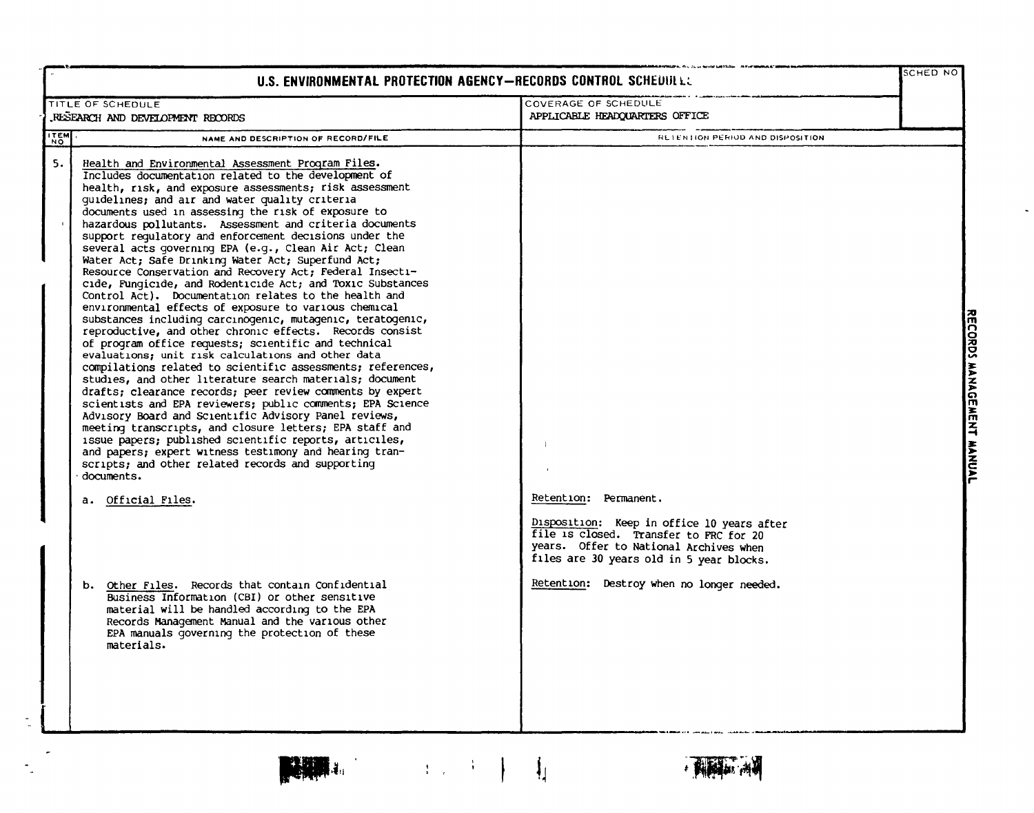|             | U.S. ENVIRONMENTAL PROTECTION AGENCY-RECORDS CONTROL SCHEDULE.                                                                                                                                                                                                                                                                                                                                                                                                                                                                                                                                                                                                                                                                                                                                                                                                                                                                                                                                                                                                                                                                                                                                                                                                                                                                                                                                                                                                                                                                                                                                 |                                                                                                                                                                           | SCHED NO |                           |
|-------------|------------------------------------------------------------------------------------------------------------------------------------------------------------------------------------------------------------------------------------------------------------------------------------------------------------------------------------------------------------------------------------------------------------------------------------------------------------------------------------------------------------------------------------------------------------------------------------------------------------------------------------------------------------------------------------------------------------------------------------------------------------------------------------------------------------------------------------------------------------------------------------------------------------------------------------------------------------------------------------------------------------------------------------------------------------------------------------------------------------------------------------------------------------------------------------------------------------------------------------------------------------------------------------------------------------------------------------------------------------------------------------------------------------------------------------------------------------------------------------------------------------------------------------------------------------------------------------------------|---------------------------------------------------------------------------------------------------------------------------------------------------------------------------|----------|---------------------------|
|             | TITLE OF SCHEDULE<br>RESEARCH AND DEVELOPMENT RECORDS                                                                                                                                                                                                                                                                                                                                                                                                                                                                                                                                                                                                                                                                                                                                                                                                                                                                                                                                                                                                                                                                                                                                                                                                                                                                                                                                                                                                                                                                                                                                          | COVERAGE OF SCHEDULE<br>APPLICABLE HEADQUARTERS OFFICE                                                                                                                    |          |                           |
| <b>ITEM</b> | NAME AND DESCRIPTION OF RECORD/FILE                                                                                                                                                                                                                                                                                                                                                                                                                                                                                                                                                                                                                                                                                                                                                                                                                                                                                                                                                                                                                                                                                                                                                                                                                                                                                                                                                                                                                                                                                                                                                            | RETENTION PERIOD AND DISPOSITION                                                                                                                                          |          |                           |
| 5.          | Health and Environmental Assessment Program Files.<br>Includes documentation related to the development of<br>health, risk, and exposure assessments; risk assessment<br>guidelines; and air and water quality criteria<br>documents used in assessing the risk of exposure to<br>hazardous pollutants. Assessment and criteria documents<br>support requlatory and enforcement decisions under the<br>several acts governing EPA (e.g., Clean Air Act; Clean<br>Water Act; Safe Drinking Water Act; Superfund Act;<br>Resource Conservation and Recovery Act; Federal Insecti-<br>cide, Fungicide, and Rodenticide Act; and Toxic Substances<br>Control Act). Documentation relates to the health and<br>environmental effects of exposure to various chemical<br>substances including carcinogenic, mutagenic, teratogenic,<br>reproductive, and other chronic effects. Records consist<br>of program office requests; scientific and technical<br>evaluations; unit risk calculations and other data<br>compilations related to scientific assessments; references,<br>studies, and other literature search materials; document<br>drafts; clearance records; peer review comments by expert<br>scientists and EPA reviewers; public comments; EPA Science<br>Advisory Board and Scientific Advisory Panel reviews,<br>meeting transcripts, and closure letters; EPA staff and<br>issue papers; published scientific reports, articiles,<br>and papers; expert witness testimony and hearing tran-<br>scripts; and other related records and supporting<br>documents.<br>a. Official Files. | Retention: Permanent.<br>Disposition: Keep in office 10 years after                                                                                                       |          | RECORDS MANAGEMENT MANUAL |
|             | b. Other Files. Records that contain Confidential<br>Business Information (CBI) or other sensitive<br>material will be handled according to the EPA<br>Records Management Manual and the various other<br>EPA manuals governing the protection of these<br>materials.                                                                                                                                                                                                                                                                                                                                                                                                                                                                                                                                                                                                                                                                                                                                                                                                                                                                                                                                                                                                                                                                                                                                                                                                                                                                                                                          | file is closed. Transfer to FRC for 20<br>years. Offer to National Archives when<br>files are 30 years old in 5 year blocks.<br>Retention: Destroy when no longer needed. |          |                           |



 $\omega$ 

 $\label{eq:3.1} \left\{ \begin{array}{c} 1 \leq i \leq n-1 \end{array} \right\} \quad \text{and} \quad \prod_{i=1}^n \left\{ \begin{array}{c} 1 \leq i \leq n-1 \end{array} \right\}.$ 

有种科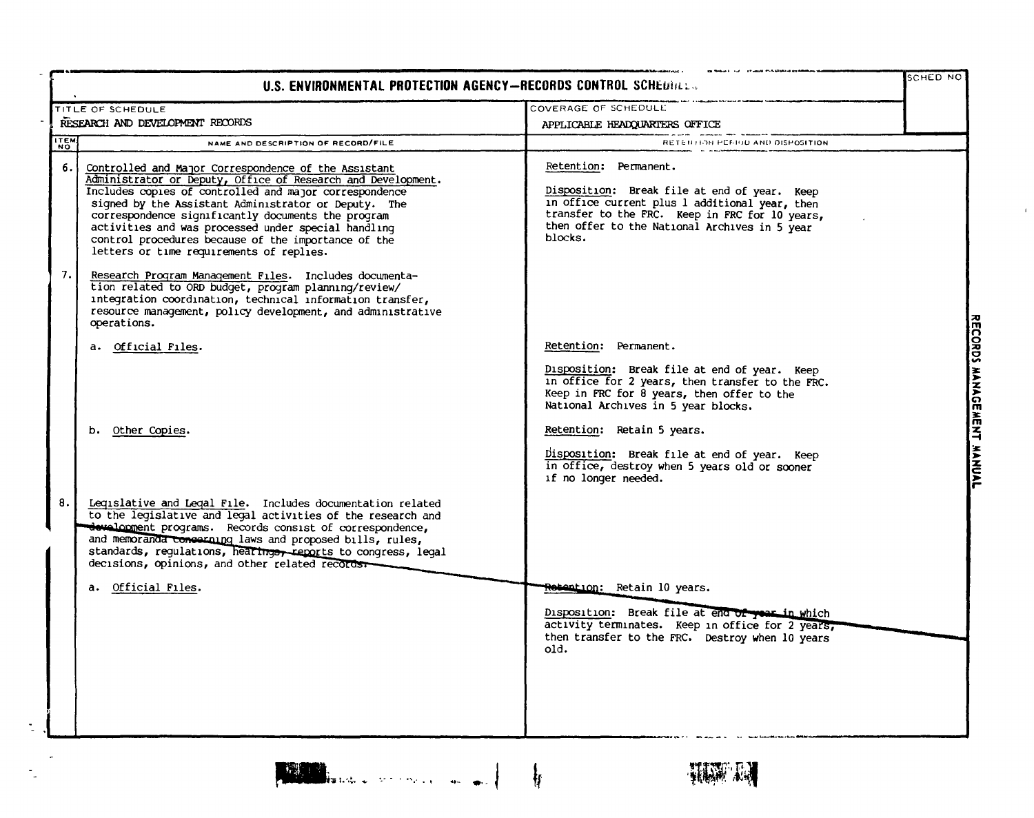|             | TITLE OF SCHEDULE                                                                                                                                                                                                                                                                                                                                                                                                                                      | COVERAGE OF SCHEDULE                                                                                                                                                                                                                  |  |
|-------------|--------------------------------------------------------------------------------------------------------------------------------------------------------------------------------------------------------------------------------------------------------------------------------------------------------------------------------------------------------------------------------------------------------------------------------------------------------|---------------------------------------------------------------------------------------------------------------------------------------------------------------------------------------------------------------------------------------|--|
|             | RESEARCH AND DEVELOPMENT RECORDS                                                                                                                                                                                                                                                                                                                                                                                                                       | APPLICABLE HEADQUARTERS OFFICE                                                                                                                                                                                                        |  |
| <b>ITEM</b> | NAME AND DESCRIPTION OF RECORD/FILE                                                                                                                                                                                                                                                                                                                                                                                                                    | RETENTION PERIOD AND DISPOSITION.                                                                                                                                                                                                     |  |
| 6. I        | Controlled and Major Correspondence of the Assistant<br>Administrator or Deputy, Office of Research and Development.<br>Includes copies of controlled and major correspondence<br>signed by the Assistant Administrator or Deputy. The<br>correspondence significantly documents the program<br>activities and was processed under special handling<br>control procedures because of the importance of the<br>letters or time requirements of replies. | Retention: Permanent.<br>Disposition: Break file at end of year. Keep<br>in office current plus 1 additional year, then<br>transfer to the FRC. Keep in FRC for 10 years,<br>then offer to the National Archives in 5 year<br>blocks. |  |
| 7. I        | Research Program Management Files. Includes documenta-<br>tion related to ORD budget, program planning/review/<br>integration coordination, technical information transfer,<br>resource management, policy development, and administrative<br>operations.                                                                                                                                                                                              |                                                                                                                                                                                                                                       |  |
|             | a. Official Files.                                                                                                                                                                                                                                                                                                                                                                                                                                     | Retention: Permanent.                                                                                                                                                                                                                 |  |
|             | b. Other Copies.                                                                                                                                                                                                                                                                                                                                                                                                                                       | Disposition: Break file at end of year. Keep<br>in office for 2 years, then transfer to the FRC.<br>Keep in FRC for 8 years, then offer to the<br>National Archives in 5 year blocks.<br>Retention: Retain 5 years.                   |  |
|             |                                                                                                                                                                                                                                                                                                                                                                                                                                                        | Disposition: Break file at end of year. Keep<br>in office, destroy when 5 years old or sconer<br>if no longer needed.                                                                                                                 |  |
| 8.          | Legislative and Legal File. Includes documentation related<br>to the legislative and legal activities of the research and<br>development programs. Records consist of correspondence,<br>and memoranda conserning laws and proposed bills, rules,<br>standards, regulations, hearings, reports to congress, legal<br>decisions, opinions, and other related records.                                                                                   |                                                                                                                                                                                                                                       |  |
|             | a. Official Files.                                                                                                                                                                                                                                                                                                                                                                                                                                     | <del>Rotentio</del> n: Retain 10 years.<br>Disposition: Break file at end of year in which<br>activity terminates. Keep in office for 2 years,<br>then transfer to the FRC. Destroy when 10 years<br>old.                             |  |
|             |                                                                                                                                                                                                                                                                                                                                                                                                                                                        |                                                                                                                                                                                                                                       |  |

 $\mathcal{A}_2$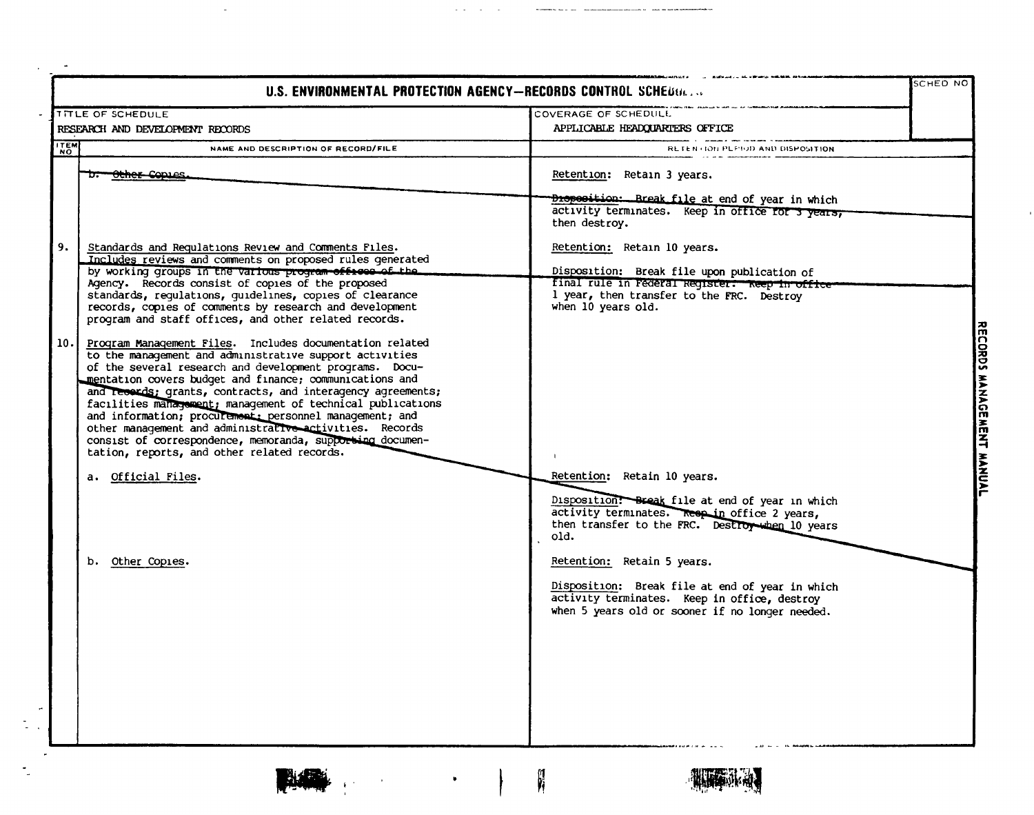|             | U.S. ENVIRONMENTAL PROTECTION AGENCY-RECORDS CONTROL SCHEDGE                                                                                                                                                                                                                                                                                                                                                                                                                                                                                               |                                                                                                                                                                  | SCHED NO |
|-------------|------------------------------------------------------------------------------------------------------------------------------------------------------------------------------------------------------------------------------------------------------------------------------------------------------------------------------------------------------------------------------------------------------------------------------------------------------------------------------------------------------------------------------------------------------------|------------------------------------------------------------------------------------------------------------------------------------------------------------------|----------|
|             | <b>TITLE OF SCHEDULE</b>                                                                                                                                                                                                                                                                                                                                                                                                                                                                                                                                   | COVERAGE OF SCHEDULL                                                                                                                                             |          |
|             | RESEARCH AND DEVELOPMENT RECORDS                                                                                                                                                                                                                                                                                                                                                                                                                                                                                                                           | APPLICABLE HEADQUARTERS OFFICE                                                                                                                                   |          |
| <b>ITEM</b> | NAME AND DESCRIPTION OF RECORD/FILE                                                                                                                                                                                                                                                                                                                                                                                                                                                                                                                        | RETENTION PLETOD AND DISPOSITION                                                                                                                                 |          |
|             | <del>b. Other Co</del> pies                                                                                                                                                                                                                                                                                                                                                                                                                                                                                                                                | Retention: Retain 3 years.                                                                                                                                       |          |
|             |                                                                                                                                                                                                                                                                                                                                                                                                                                                                                                                                                            | <b>Disposition:</b> Break file at end of year in which<br>activity terminates. Keep in office for 3 years,<br>then destroy.                                      |          |
|             | Standards and Requiations Review and Comments Files.<br>Includes reviews and comments on proposed rules generated                                                                                                                                                                                                                                                                                                                                                                                                                                          | Retention: Retain 10 years.                                                                                                                                      |          |
|             | by working groups in the various program offices of the<br>Agency. Records consist of copies of the proposed<br>standards, regulations, guidelines, copies of clearance<br>records, copies of comments by research and development<br>program and staff offices, and other related records.                                                                                                                                                                                                                                                                | Disposition: Break file upon publication of<br>final rule in rederal Register. Reep in office<br>1 year, then transfer to the FRC. Destroy<br>when 10 years old. |          |
| 10.         | Program Management Files. Includes documentation related<br>to the management and administrative support activities<br>of the several research and development programs. Docu-<br>mentation covers budget and finance; communications and<br>and records; grants, contracts, and interagency agreements;<br>facilities management; management of technical publications<br>and information; procurement: personnel management; and<br>other management and administrative activities. Records<br>consist of correspondence, memoranda, supporting documen- |                                                                                                                                                                  |          |
|             | tation, reports, and other related records.<br>a. Official Files.                                                                                                                                                                                                                                                                                                                                                                                                                                                                                          | Retention: Retain 10 years.                                                                                                                                      |          |
|             |                                                                                                                                                                                                                                                                                                                                                                                                                                                                                                                                                            | Disposition: Break file at end of year in which<br>activity terminates. Resp in office 2 years,<br>then transfer to the FRC. Destroy when 10 years<br>old.       |          |
|             | b.<br>Other Copies.                                                                                                                                                                                                                                                                                                                                                                                                                                                                                                                                        | Retention: Retain 5 years.                                                                                                                                       |          |
|             |                                                                                                                                                                                                                                                                                                                                                                                                                                                                                                                                                            | Disposition: Break file at end of year in which<br>activity terminates. Keep in office, destroy<br>when 5 years old or sooner if no longer needed.               |          |
|             |                                                                                                                                                                                                                                                                                                                                                                                                                                                                                                                                                            |                                                                                                                                                                  |          |
|             |                                                                                                                                                                                                                                                                                                                                                                                                                                                                                                                                                            |                                                                                                                                                                  |          |
|             |                                                                                                                                                                                                                                                                                                                                                                                                                                                                                                                                                            |                                                                                                                                                                  |          |

n Ē

 $\cdot$ 

 $\bullet$ 

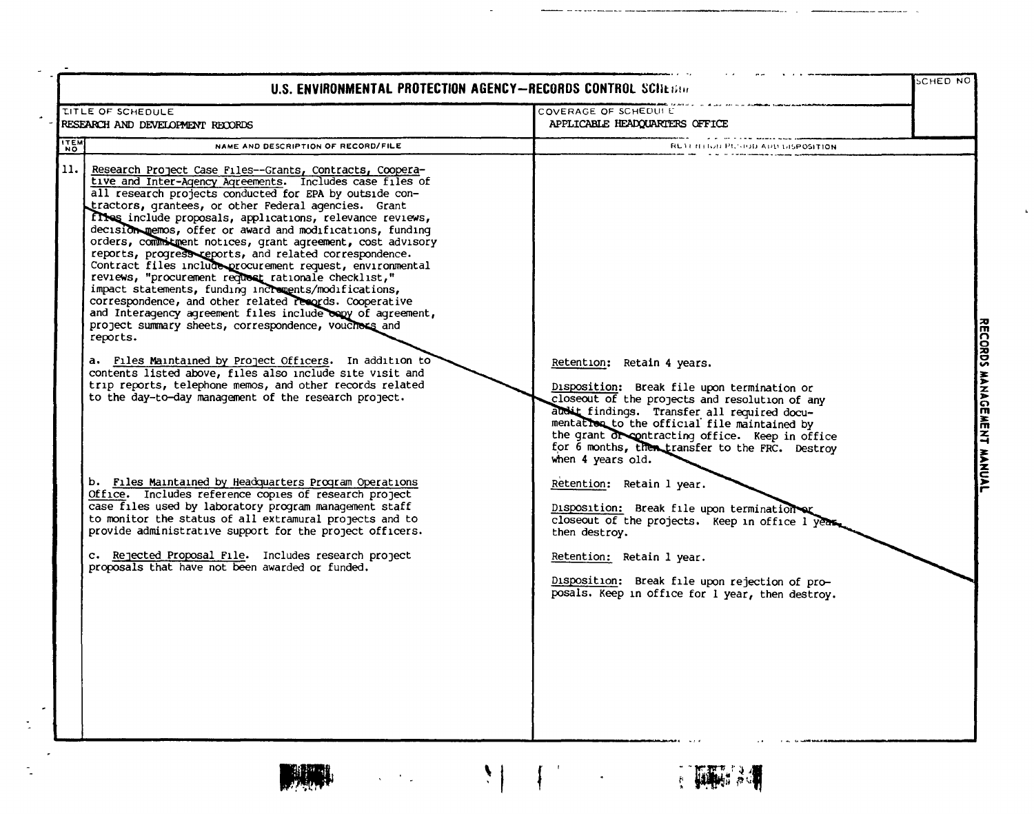| <b>TITLE OF SCHEDULE</b>                                                                                                                                                                                                                                                                                                                                                                                                                                                                                                                                                                                                                                                                                                                                                                                                                                                                                                                                                                                                                                                                                              | COVERAGE OF SCHEDUI E                                                                                                                                                                                                                                                                                                                                 |  |
|-----------------------------------------------------------------------------------------------------------------------------------------------------------------------------------------------------------------------------------------------------------------------------------------------------------------------------------------------------------------------------------------------------------------------------------------------------------------------------------------------------------------------------------------------------------------------------------------------------------------------------------------------------------------------------------------------------------------------------------------------------------------------------------------------------------------------------------------------------------------------------------------------------------------------------------------------------------------------------------------------------------------------------------------------------------------------------------------------------------------------|-------------------------------------------------------------------------------------------------------------------------------------------------------------------------------------------------------------------------------------------------------------------------------------------------------------------------------------------------------|--|
| RESEARCH AND DEVELOPMENT RECORDS                                                                                                                                                                                                                                                                                                                                                                                                                                                                                                                                                                                                                                                                                                                                                                                                                                                                                                                                                                                                                                                                                      | APPLICABLE HEADQUARTERS OFFICE                                                                                                                                                                                                                                                                                                                        |  |
| ITEM<br>NAME AND DESCRIPTION OF RECORD/FILE                                                                                                                                                                                                                                                                                                                                                                                                                                                                                                                                                                                                                                                                                                                                                                                                                                                                                                                                                                                                                                                                           | REAT IT HOR PLADD APD DISPOSITION                                                                                                                                                                                                                                                                                                                     |  |
| 11. <br>Research Project Case Files--Grants, Contracts, Coopera-<br>tive and Inter-Agency Agreements. Includes case files of<br>all research projects conducted for EPA by outside con-<br>tractors, grantees, or other Federal agencies. Grant<br>fites include proposals, applications, relevance reviews,<br>decision memos, offer or award and modifications, funding<br>orders, commitment notices, grant agreement, cost advisory<br>reports, progress reports, and related correspondence.<br>Contract files include procurement request, environmental<br>reviews, "procurement request rationale checklist,"<br>impact statements, funding increments/modifications,<br>correspondence, and other related records. Cooperative<br>and Interagency agreement files include copy of agreement,<br>project summary sheets, correspondence, vouchers and<br>reports.<br>a. Files Maintained by Project Officers. In addition to<br>contents listed above, files also include site visit and<br>trip reports, telephone memos, and other records related<br>to the day-to-day management of the research project. | Retention: Retain 4 years.<br>Disposition: Break file upon termination or<br>closeout of the projects and resolution of any<br>audit findings. Transfer all required docu-<br>mentation to the official file maintained by<br>the grant of contracting office. Keep in office<br>for 6 months, then transfer to the FRC. Destroy<br>when 4 years old. |  |
| b. Files Maintained by Headquarters Program Operations<br>Office. Includes reference copies of research project<br>case files used by laboratory program management staff<br>to monitor the status of all extramural projects and to<br>provide administrative support for the project officers.<br>c. Rejected Proposal File. Includes research project<br>proposals that have not been awarded or funded.                                                                                                                                                                                                                                                                                                                                                                                                                                                                                                                                                                                                                                                                                                           | Retention: Retain 1 year.<br>Disposition: Break file upon termination<br>closeout of the projects. Keep in office 1 years<br>then destroy.<br>Retention: Retain 1 year.<br>Disposition: Break file upon rejection of pro-<br>posals. Keep in office for 1 year, then destroy.                                                                         |  |



 $\tilde{\mathbb{Z}}$ 



 $\frac{1}{2}$ 

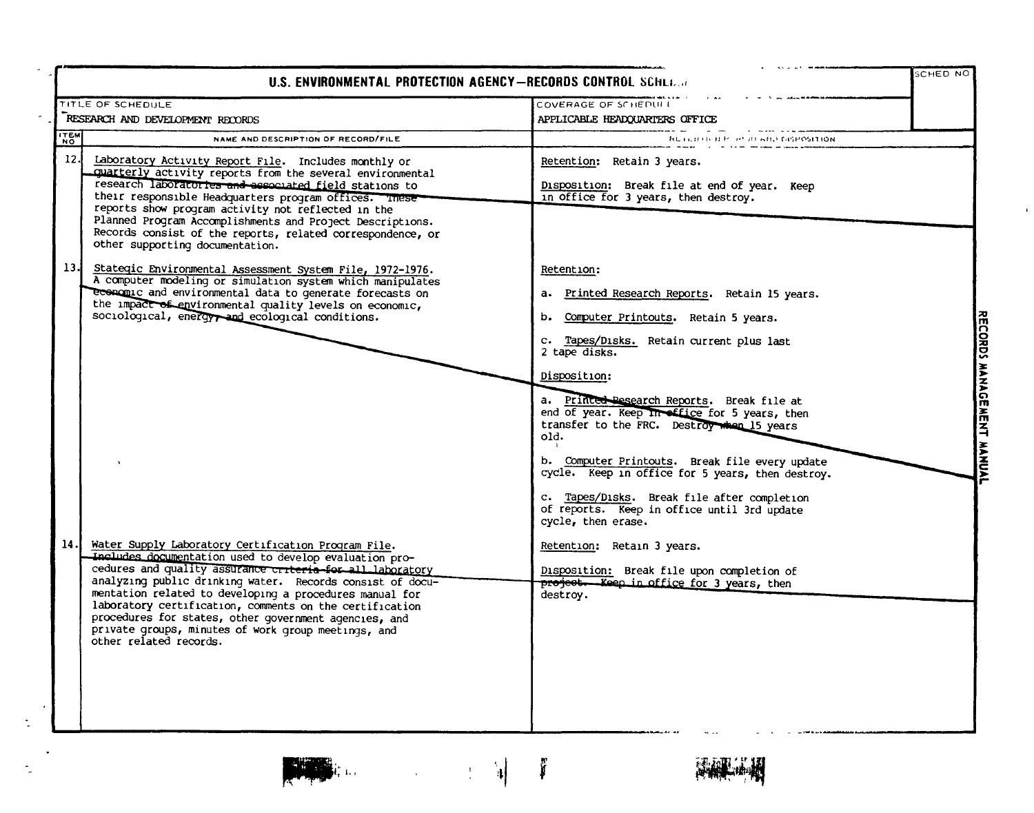|             |                                                                                                                                                                                                                                                                                                                                                                                                                                                                                                         | U.S. ENVIRONMENTAL PROTECTION AGENCY-RECORDS CONTROL SCHLL                                                                                                                                                                                                                                                                                                                                                                                                                                                                                  |  |
|-------------|---------------------------------------------------------------------------------------------------------------------------------------------------------------------------------------------------------------------------------------------------------------------------------------------------------------------------------------------------------------------------------------------------------------------------------------------------------------------------------------------------------|---------------------------------------------------------------------------------------------------------------------------------------------------------------------------------------------------------------------------------------------------------------------------------------------------------------------------------------------------------------------------------------------------------------------------------------------------------------------------------------------------------------------------------------------|--|
|             | TITLE OF SCHEDULE                                                                                                                                                                                                                                                                                                                                                                                                                                                                                       | COVERAGE OF SCHEDUIT                                                                                                                                                                                                                                                                                                                                                                                                                                                                                                                        |  |
|             | RESEARCH AND DEVELOPMENT RECORDS                                                                                                                                                                                                                                                                                                                                                                                                                                                                        | APPLICABLE HEADQUARTERS OFFICE                                                                                                                                                                                                                                                                                                                                                                                                                                                                                                              |  |
| <b>ITEM</b> | NAME AND DESCRIPTION OF RECORD/FILE                                                                                                                                                                                                                                                                                                                                                                                                                                                                     | RUTERED BE READ AND DISPOSITION.                                                                                                                                                                                                                                                                                                                                                                                                                                                                                                            |  |
| 12.         | Laboratory Activity Report File. Includes monthly or<br>quarterly activity reports from the several environmental<br>research laboratories and associated field stations to<br>their responsible Headquarters program offices. These<br>reports show program activity not reflected in the<br>Planned Program Accomplishments and Project Descriptions.<br>Records consist of the reports, related correspondence, or<br>other supporting documentation.                                                | Retention: Retain 3 years.<br>Disposition: Break file at end of year. Keep<br>in office for 3 years, then destroy.                                                                                                                                                                                                                                                                                                                                                                                                                          |  |
| 13.         | Stategic Environmental Assessment System File, 1972-1976.<br>A computer modeling or simulation system which manipulates<br>economic and environmental data to generate forecasts on<br>the impact of environmental quality levels on economic,<br>sociological, energy and ecological conditions.                                                                                                                                                                                                       | Retention:<br>a. Printed Research Reports. Retain 15 years.<br>b. Computer Printouts. Retain 5 years.<br>c. Tapes/Disks. Retain current plus last<br>2 tape disks.<br>Disposition:<br>a. Princed Pesearch Reports. Break file at<br>end of year. Keep In office for 5 years, then<br>transfer to the FRC. Destroy when 15 years<br>old.<br>b. Computer Printouts. Break file every update<br>cycle. Keep in office for 5 years, then destroy.<br>c. Tapes/Disks. Break file after completion<br>of reports. Keep in office until 3rd update |  |
| 14.1        | Water Supply Laboratory Certification Program File.<br>Includes documentation used to develop evaluation pro-<br>cedures and quality assurance criteria-for all laboratory<br>analyzing public drinking water. Records consist of docu-<br>mentation related to developing a procedures manual for<br>laboratory certification, comments on the certification<br>procedures for states, other government agencies, and<br>private groups, minutes of work group meetings, and<br>other related records. | cycle, then erase.<br>Retention: Retain 3 years.<br>Disposition: Break file upon completion of<br>project. Keep in office for 3 years, then<br>destroy.                                                                                                                                                                                                                                                                                                                                                                                     |  |

 $\hat{\mathcal{A}}$ 

 $\mathbf{L}$ 

 $\dot{\Sigma}$ 

 $\tilde{\mathbb{Z}}$ 

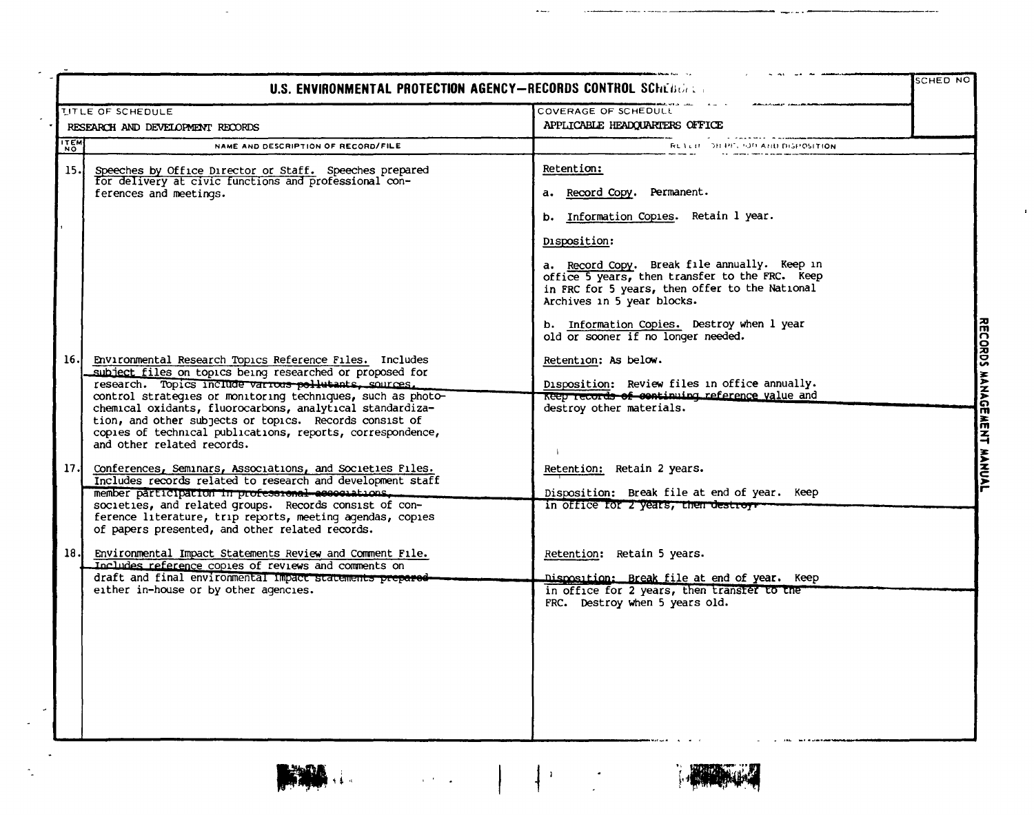|             | U.S. ENVIRONMENTAL PROTECTION AGENCY-RECORDS CONTROL SCHEBERTS                                                                                                                                                                                                                                                                                                                                                                                                 |                                                                                                                                                                                                |  |
|-------------|----------------------------------------------------------------------------------------------------------------------------------------------------------------------------------------------------------------------------------------------------------------------------------------------------------------------------------------------------------------------------------------------------------------------------------------------------------------|------------------------------------------------------------------------------------------------------------------------------------------------------------------------------------------------|--|
|             | <b>LITLE OF SCHEDULE</b>                                                                                                                                                                                                                                                                                                                                                                                                                                       | COVERAGE OF SCHEDULL                                                                                                                                                                           |  |
|             | RESEARCH AND DEVELOPMENT RECORDS                                                                                                                                                                                                                                                                                                                                                                                                                               | APPLICABLE HEADQUARTERS OFFICE                                                                                                                                                                 |  |
| <b>ITEM</b> | NAME AND DESCRIPTION OF RECORD/FILE                                                                                                                                                                                                                                                                                                                                                                                                                            | RETER THIRD OF AND DISPOSITION                                                                                                                                                                 |  |
| 15.1        | Speeches by Office Director or Staff. Speeches prepared<br>for delivery at civic functions and professional con-<br>ferences and meetings.                                                                                                                                                                                                                                                                                                                     | <b>Retention:</b><br>a. Record Copy. Permanent.<br>b. Information Copies. Retain 1 year.                                                                                                       |  |
|             |                                                                                                                                                                                                                                                                                                                                                                                                                                                                | Disposition:<br>a. Record Copy. Break file annually. Keep in<br>office 5 years, then transfer to the FRC. Keep<br>in FRC for 5 years, then offer to the National<br>Archives in 5 year blocks. |  |
|             |                                                                                                                                                                                                                                                                                                                                                                                                                                                                | b. Information Copies. Destroy when 1 year<br>old or sooner if no longer needed.                                                                                                               |  |
| 16.         | Environmental Research Topics Reference Files. Includes<br>subject files on topics being researched or proposed for<br>research. Topics include various pollutants, sources.<br>control strategies or monitoring techniques, such as photo-<br>chemical oxidants, fluorocarbons, analytical standardiza-<br>tion, and other subjects or topics. Records consist of<br>copies of technical publications, reports, correspondence,<br>and other related records. | Retention: As below.<br>Disposition: Review files in office annually.<br>Reep records of continuing reference value and<br>destroy other materials.                                            |  |
| 17.         | Conferences, Seminars, Associations, and Societies Files.<br>Includes records related to research and development staff<br>member participation in professional associations.<br>societies, and related groups. Records consist of con-<br>ference literature, trip reports, meeting agendas, copies<br>of papers presented, and other related records.                                                                                                        | Retention: Retain 2 years.<br>Disposition: Break file at end of year. Keep<br>in office for 2 years, then destroys                                                                             |  |
| 18.         | Environmental Impact Statements Review and Comment File.<br>Includes reference copies of reviews and comments on<br>draft and final environmental impact statements prepared-<br>either in-house or by other agencies.                                                                                                                                                                                                                                         | Retention: Retain 5 years.<br><u> Dismosition: Break file at end of year, Keep</u><br>in office for 2 years, then transfer to the                                                              |  |
|             |                                                                                                                                                                                                                                                                                                                                                                                                                                                                | FRC. Destroy when 5 years old.                                                                                                                                                                 |  |





 $\label{eq:3.1} \frac{1}{\sqrt{2}}\left(\frac{1}{\sqrt{2}}\right)^{2}=\frac{1}{\sqrt{2}}\left(\frac{1}{\sqrt{2}}\right)^{2}$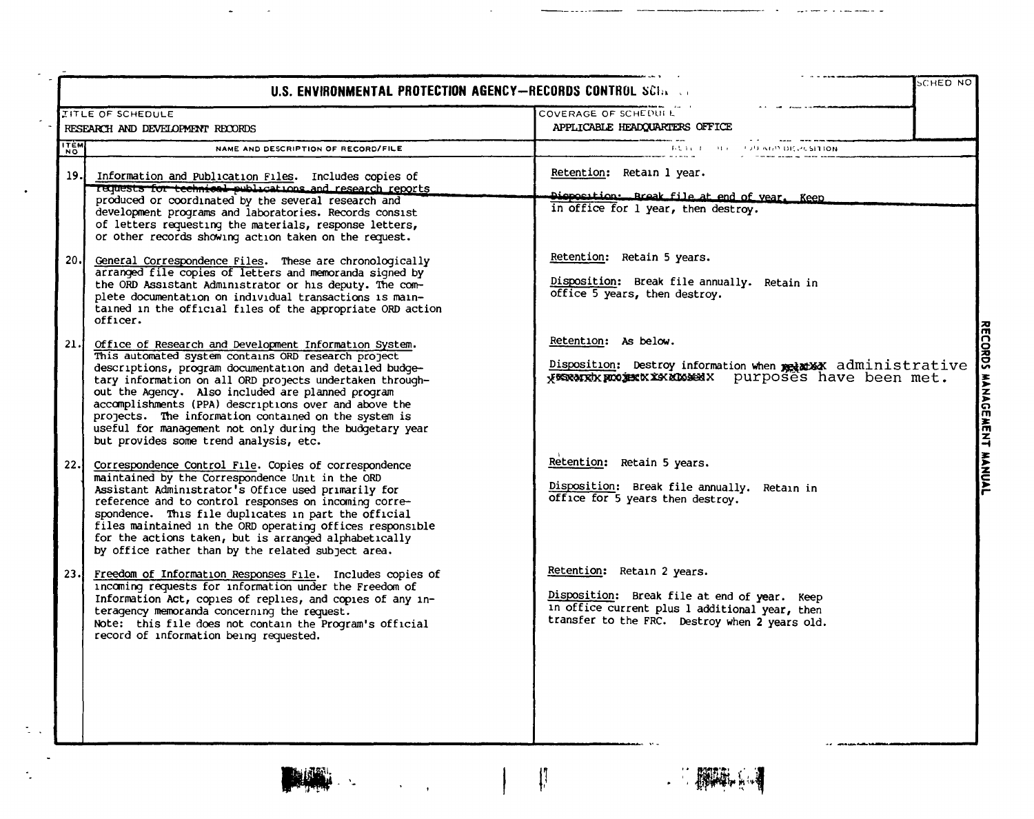|             | U.S. ENVIRONMENTAL PROTECTION AGENCY-RECORDS CONTROL SCIN CO                                                                                                                                                                                                                                                                                                                                                                                                                                                     | SCHED NO                                                                                                                                                                       |                                     |
|-------------|------------------------------------------------------------------------------------------------------------------------------------------------------------------------------------------------------------------------------------------------------------------------------------------------------------------------------------------------------------------------------------------------------------------------------------------------------------------------------------------------------------------|--------------------------------------------------------------------------------------------------------------------------------------------------------------------------------|-------------------------------------|
|             | <b>ITLE OF SCHEDULE</b><br>RESEARCH AND DEVELOPMENT RECORDS                                                                                                                                                                                                                                                                                                                                                                                                                                                      | COVERAGE OF SCHEDUIL<br>APPLICABLE HEADQUARTERS OFFICE                                                                                                                         |                                     |
| <b>ITEM</b> | NAME AND DESCRIPTION OF RECORD/FILE                                                                                                                                                                                                                                                                                                                                                                                                                                                                              | THE THE RESIDENCE OF A GP DICK CSITION.                                                                                                                                        |                                     |
| 19.1        | Information and Publication Files. Includes copies of<br>Tequests for technical publications and research reports<br>produced or coordinated by the several research and<br>development programs and laboratories. Records consist<br>of letters requesting the materials, response letters,<br>or other records showing action taken on the request.                                                                                                                                                            | Retention: Retain 1 year.<br>Disposition: Break file at end of year. Keep<br>in office for 1 year, then destroy.                                                               |                                     |
| 20.         | General Correspondence Files. These are chronologically<br>arranged file copies of letters and memoranda signed by<br>the ORD Assistant Administrator or his deputy. The com-<br>plete documentation on individual transactions is main-<br>tained in the official files of the appropriate ORD action<br>officer.                                                                                                                                                                                               | Retention: Retain 5 years.<br>Disposition: Break file annually. Retain in<br>office 5 years, then destroy.                                                                     |                                     |
| 21.         | Office of Research and Development Information System.<br>This automated system contains ORD research project<br>descriptions, program documentation and detailed budge-<br>tary information on all ORD projects undertaken through-<br>out the Agency. Also included are planned program<br>accomplishments (PPA) descriptions over and above the<br>projects. The information contained on the system is<br>useful for management not only during the budgetary year<br>but provides some trend analysis, etc. | Retention: As below.<br>Disposition: Destroy information when provided administrative                                                                                          | <b>RECORDS</b><br>MANAGEMENT MANUAL |
| 22.1        | Correspondence Control File. Copies of correspondence<br>maintained by the Correspondence Unit in the ORD<br>Assistant Administrator's Office used primarily for<br>reference and to control responses on incoming corre-<br>spondence. This file duplicates in part the official<br>files maintained in the ORD operating offices responsible<br>for the actions taken, but is arranged alphabetically<br>by office rather than by the related subject area.                                                    | Retention: Retain 5 years.<br>Disposition: Break file annually. Retain in<br>office for 5 years then destroy.                                                                  |                                     |
| 23.1        | Freedom of Information Responses File. Includes copies of<br>incoming requests for information under the Freedom of<br>Information Act, copies of replies, and copies of any in-<br>teragency memoranda concerning the request.<br>Note: this file does not contain the Program's official<br>record of information being requested.                                                                                                                                                                             | Retention: Retain 2 years.<br>Disposition: Break file at end of year. Keep<br>in office current plus 1 additional year, then<br>transfer to the FRC. Destroy when 2 years old. |                                     |



 $\mathcal{A}$  $\mathcal{A}$ 

 $\bar{z}$ 

 $\ddot{\phantom{0}}$ 

 $\mathbb{Z}^{\mathbb{Z}}$  .

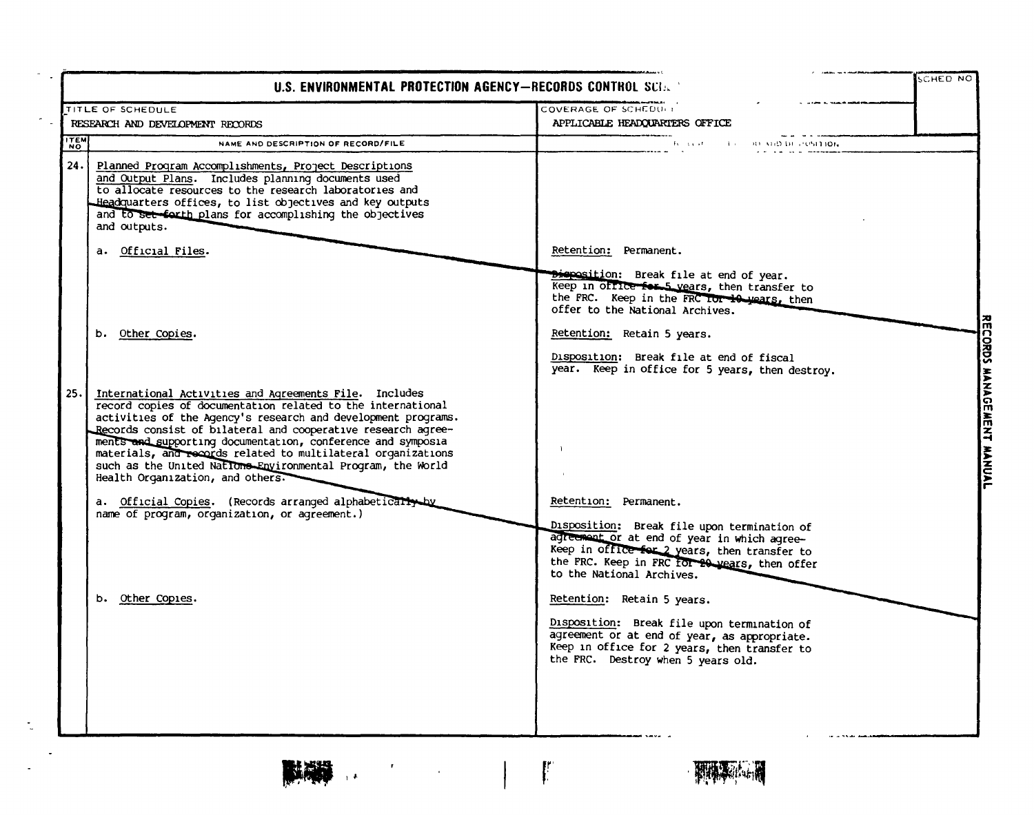|            | U.S. ENVIRONMENTAL PROTECTION AGENCY-RECORDS CONTROL SCI.                                                                                                                                                                                                                                                                                                                                                                                                                                |                                                                                                                                                                                                                 | <b>SCHED NO</b>                  |
|------------|------------------------------------------------------------------------------------------------------------------------------------------------------------------------------------------------------------------------------------------------------------------------------------------------------------------------------------------------------------------------------------------------------------------------------------------------------------------------------------------|-----------------------------------------------------------------------------------------------------------------------------------------------------------------------------------------------------------------|----------------------------------|
|            | TITLE OF SCHEDULE                                                                                                                                                                                                                                                                                                                                                                                                                                                                        | COVERAGE OF SCHEDULE                                                                                                                                                                                            |                                  |
|            | RESEARCH AND DEVELOPMENT RECORDS                                                                                                                                                                                                                                                                                                                                                                                                                                                         | APPLICABLE HEADQUARTERS OFFICE                                                                                                                                                                                  |                                  |
| <b>HEN</b> | NAME AND DESCRIPTION OF RECORD/FILE                                                                                                                                                                                                                                                                                                                                                                                                                                                      | The district of the first<br><b>BUILD DE POSITION</b>                                                                                                                                                           |                                  |
| 24.        | Planned Program Accomplishments, Project Descriptions<br>and Output Plans. Includes planning documents used<br>to allocate resources to the research laboratories and<br>Headquarters offices, to list objectives and key outputs<br>and to set farth plans for accomplishing the objectives<br>and outputs.                                                                                                                                                                             |                                                                                                                                                                                                                 |                                  |
|            | a. Official Files.                                                                                                                                                                                                                                                                                                                                                                                                                                                                       | Retention: Permanent.                                                                                                                                                                                           |                                  |
|            | b. Other Copies.                                                                                                                                                                                                                                                                                                                                                                                                                                                                         | Disposition: Break file at end of year.<br>Keep in office for 5 years, then transfer to<br>the FRC. Keep in the FRC Tor 10 years, then<br>offer to the National Archives.<br>Retention: Retain 5 years.         | 祒<br>o                           |
|            |                                                                                                                                                                                                                                                                                                                                                                                                                                                                                          | Disposition: Break file at end of fiscal<br>year. Keep in office for 5 years, then destroy.                                                                                                                     | 경<br>Ū                           |
| 25.        | International Activities and Agreements File. Includes<br>record copies of documentation related to the international<br>activities of the Agency's research and development programs.<br>Records consist of bilateral and cooperative research agree-<br>ments and supporting documentation, conference and symposia<br>materials, and records related to multilateral organizations<br>such as the United Nations Environmental Program, the World<br>Health Organization, and others. |                                                                                                                                                                                                                 | <b>HANAG</b><br>п<br><b>WENT</b> |
|            | a. Official Copies. (Records arranged alphabetically by<br>name of program, organization, or agreement.)                                                                                                                                                                                                                                                                                                                                                                                 | Retention: Permanent.<br>Disposition: Break file upon termination of                                                                                                                                            |                                  |
|            |                                                                                                                                                                                                                                                                                                                                                                                                                                                                                          | agreement or at end of year in which agree-<br>Keep in office for 2 years, then transfer to<br>the FRC. Keep in FRC for 20 years, then offer<br>to the National Archives.                                       |                                  |
|            | b. Other Copies.                                                                                                                                                                                                                                                                                                                                                                                                                                                                         | Retention: Retain 5 years.<br>Disposition: Break file upon termination of<br>agreement or at end of year, as appropriate.<br>Keep in office for 2 years, then transfer to<br>the FRC. Destroy when 5 years old. |                                  |
|            |                                                                                                                                                                                                                                                                                                                                                                                                                                                                                          |                                                                                                                                                                                                                 |                                  |

 $\label{eq:2} \mathcal{F} = \frac{1}{2} \sum_{i=1}^n \mathcal{F}_i \left[ \mathcal{F}_i \left( \mathcal{F}_i \right) \right] \mathcal{F}_i \left( \mathcal{F}_i \right) \mathcal{F}_i \left( \mathcal{F}_i \right)$ 

**TANK** 

 $\sim$ 

 $\sim$